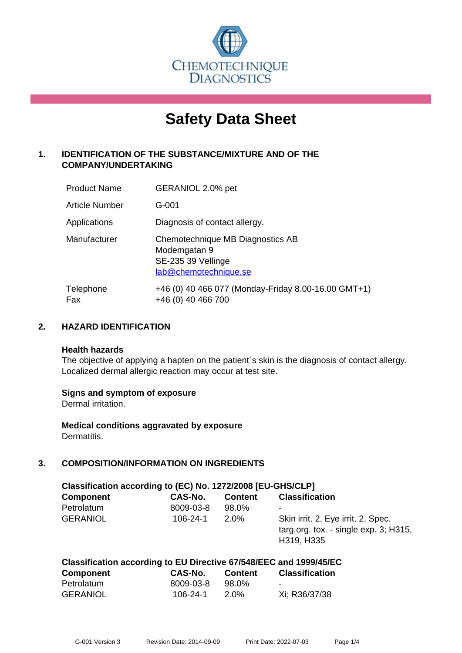

# **Safety Data Sheet**

# **1. IDENTIFICATION OF THE SUBSTANCE/MIXTURE AND OF THE COMPANY/UNDERTAKING**

| <b>Product Name</b> | GERANIOL 2.0% pet                                                                               |
|---------------------|-------------------------------------------------------------------------------------------------|
| Article Number      | $G - 001$                                                                                       |
| Applications        | Diagnosis of contact allergy.                                                                   |
| Manufacturer        | Chemotechnique MB Diagnostics AB<br>Modemgatan 9<br>SE-235 39 Vellinge<br>lab@chemotechnique.se |
| Telephone<br>Fax    | +46 (0) 40 466 077 (Monday-Friday 8.00-16.00 GMT+1)<br>+46 (0) 40 466 700                       |

## **2. HAZARD IDENTIFICATION**

#### **Health hazards**

The objective of applying a hapten on the patient's skin is the diagnosis of contact allergy. Localized dermal allergic reaction may occur at test site.

## **Signs and symptom of exposure**

Dermal irritation.

**Medical conditions aggravated by exposure** Dermatitis.

# **3. COMPOSITION/INFORMATION ON INGREDIENTS**

| Classification according to (EC) No. 1272/2008 [EU-GHS/CLP] |           |                |                                                                                           |  |
|-------------------------------------------------------------|-----------|----------------|-------------------------------------------------------------------------------------------|--|
| <b>Component</b>                                            | CAS-No.   | <b>Content</b> | <b>Classification</b>                                                                     |  |
| Petrolatum                                                  | 8009-03-8 | 98.0%          | ٠                                                                                         |  |
| <b>GERANIOL</b>                                             | 106-24-1  | $2.0\%$        | Skin irrit. 2, Eye irrit. 2, Spec.<br>targ.org. tox. - single exp. 3; H315,<br>H319, H335 |  |

# **Classification according to EU Directive 67/548/EEC and 1999/45/EC**

| <b>Component</b> | CAS-No.   | <b>Content</b> | <b>Classification</b> |
|------------------|-----------|----------------|-----------------------|
| Petrolatum       | 8009-03-8 | 98.0%          | $\blacksquare$        |
| <b>GERANIOL</b>  | 106-24-1  | 2.0%           | Xi; R36/37/38         |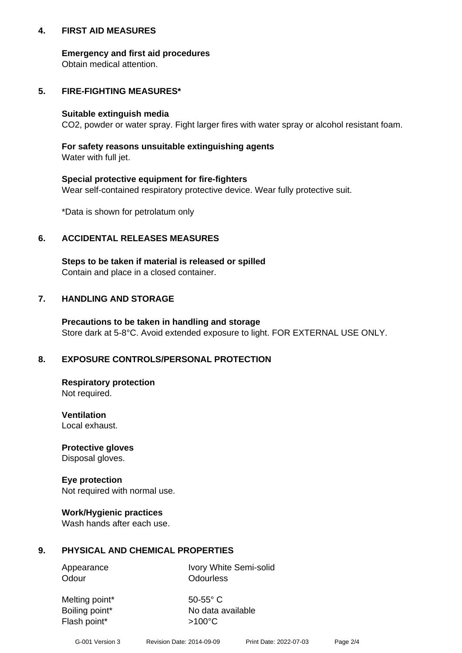## **4. FIRST AID MEASURES**

## **Emergency and first aid procedures**

Obtain medical attention.

# **5. FIRE-FIGHTING MEASURES\***

#### **Suitable extinguish media**

CO2, powder or water spray. Fight larger fires with water spray or alcohol resistant foam.

# **For safety reasons unsuitable extinguishing agents**

Water with full jet.

## **Special protective equipment for fire-fighters**

Wear self-contained respiratory protective device. Wear fully protective suit.

\*Data is shown for petrolatum only

## **6. ACCIDENTAL RELEASES MEASURES**

**Steps to be taken if material is released or spilled** Contain and place in a closed container.

# **7. HANDLING AND STORAGE**

**Precautions to be taken in handling and storage** Store dark at 5-8°C. Avoid extended exposure to light. FOR EXTERNAL USE ONLY.

# **8. EXPOSURE CONTROLS/PERSONAL PROTECTION**

**Respiratory protection** Not required.

**Ventilation** Local exhaust.

**Protective gloves** Disposal gloves.

#### **Eye protection** Not required with normal use.

## **Work/Hygienic practices**

Wash hands after each use.

## **9. PHYSICAL AND CHEMICAL PROPERTIES**

Odour **Odourless** 

Appearance Ivory White Semi-solid

Melting point\* 50-55° C Flash point\*  $>100^{\circ}$ C

Boiling point\* No data available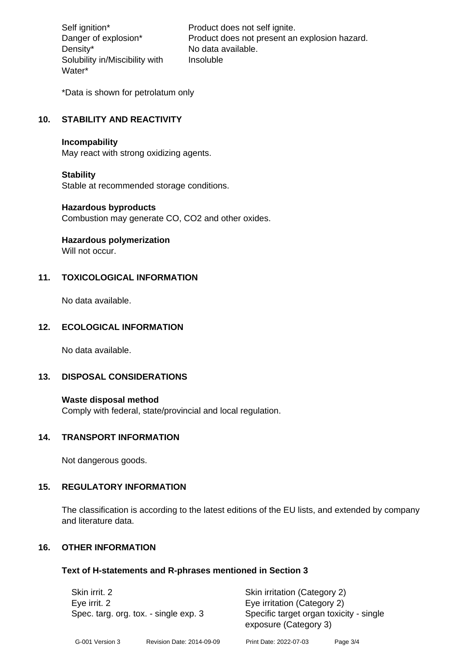Density\* No data available. Solubility in/Miscibility with Water\*

Self ignition\* Product does not self ignite. Danger of explosion\* Product does not present an explosion hazard. Insoluble

\*Data is shown for petrolatum only

# **10. STABILITY AND REACTIVITY**

#### **Incompability**

May react with strong oxidizing agents.

#### **Stability**

Stable at recommended storage conditions.

#### **Hazardous byproducts**

Combustion may generate CO, CO2 and other oxides.

**Hazardous polymerization**

Will not occur.

## **11. TOXICOLOGICAL INFORMATION**

No data available.

# **12. ECOLOGICAL INFORMATION**

No data available.

## **13. DISPOSAL CONSIDERATIONS**

#### **Waste disposal method**

Comply with federal, state/provincial and local regulation.

#### **14. TRANSPORT INFORMATION**

Not dangerous goods.

## **15. REGULATORY INFORMATION**

The classification is according to the latest editions of the EU lists, and extended by company and literature data.

#### **16. OTHER INFORMATION**

#### **Text of H-statements and R-phrases mentioned in Section 3**

|  | Skin irrit. 2<br>Eye irrit. 2<br>Spec. targ. org. tox. - single exp. 3 |  | Skin irritation (Category 2)<br>Eye irritation (Category 2)<br>Specific target organ toxicity - single<br>exposure (Category 3) |  |
|--|------------------------------------------------------------------------|--|---------------------------------------------------------------------------------------------------------------------------------|--|
|--|------------------------------------------------------------------------|--|---------------------------------------------------------------------------------------------------------------------------------|--|